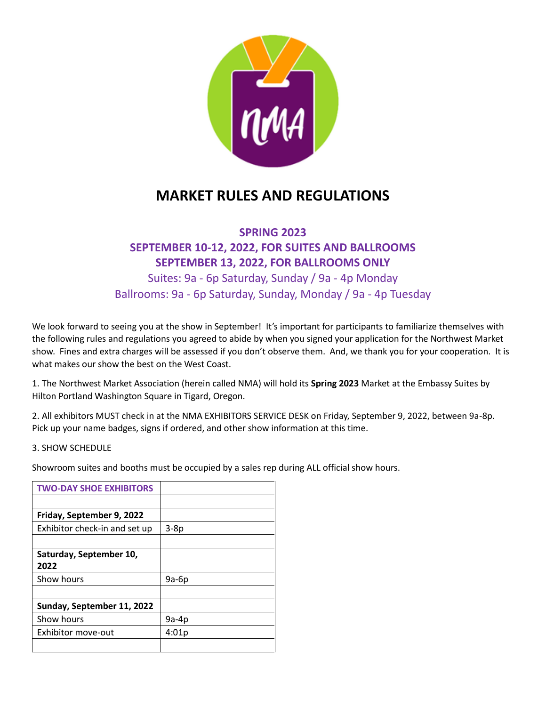

## **MARKET RULES AND REGULATIONS**

#### **SPRING 2023**

### **SEPTEMBER 10-12, 2022, FOR SUITES AND BALLROOMS SEPTEMBER 13, 2022, FOR BALLROOMS ONLY** Suites: 9a - 6p Saturday, Sunday / 9a - 4p Monday

Ballrooms: 9a - 6p Saturday, Sunday, Monday / 9a - 4p Tuesday

We look forward to seeing you at the show in September! It's important for participants to familiarize themselves with the following rules and regulations you agreed to abide by when you signed your application for the Northwest Market show. Fines and extra charges will be assessed if you don't observe them. And, we thank you for your cooperation. It is what makes our show the best on the West Coast.

1. The Northwest Market Association (herein called NMA) will hold its **Spring 2023** Market at the Embassy Suites by Hilton Portland Washington Square in Tigard, Oregon.

2. All exhibitors MUST check in at the NMA EXHIBITORS SERVICE DESK on Friday, September 9, 2022, between 9a-8p. Pick up your name badges, signs if ordered, and other show information at this time.

#### 3. SHOW SCHEDULE

Showroom suites and booths must be occupied by a sales rep during ALL official show hours.

| <b>TWO-DAY SHOE EXHIBITORS</b> |        |
|--------------------------------|--------|
|                                |        |
| Friday, September 9, 2022      |        |
| Exhibitor check-in and set up  | $3-8p$ |
|                                |        |
| Saturday, September 10,        |        |
| 2022                           |        |
| Show hours                     | 9a-6p  |
|                                |        |
| Sunday, September 11, 2022     |        |
| Show hours                     | 9a-4p  |
| Exhibitor move-out             | 4:01p  |
|                                |        |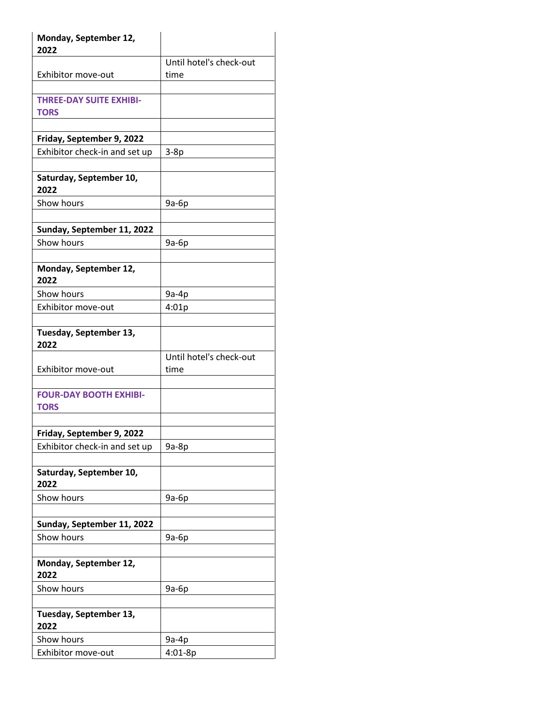| Monday, September 12,<br>2022                |                                 |
|----------------------------------------------|---------------------------------|
|                                              | Until hotel's check-out         |
| Exhibitor move-out                           | time                            |
|                                              |                                 |
| <b>THREE-DAY SUITE EXHIBI-</b>               |                                 |
| <b>TORS</b>                                  |                                 |
|                                              |                                 |
| Friday, September 9, 2022                    |                                 |
| Exhibitor check-in and set up                | $3-8p$                          |
| Saturday, September 10,<br>2022              |                                 |
| Show hours                                   | 9a-6p                           |
|                                              |                                 |
| Sunday, September 11, 2022                   |                                 |
| Show hours                                   | 9a-6p                           |
|                                              |                                 |
| Monday, September 12,<br>2022                |                                 |
| Show hours                                   | $9a-4p$                         |
| Exhibitor move-out                           | 4:01p                           |
|                                              |                                 |
| Tuesday, September 13,<br>2022               |                                 |
| Exhibitor move-out                           | Until hotel's check-out<br>time |
|                                              |                                 |
| <b>FOUR-DAY BOOTH EXHIBI-</b><br><b>TORS</b> |                                 |
|                                              |                                 |
| Friday, September 9, 2022                    |                                 |
| Exhibitor check-in and set up                | $9a-8p$                         |
|                                              |                                 |
| Saturday, September 10,<br>2022              |                                 |
| Show hours                                   | 9a-6p                           |
|                                              |                                 |
| Sunday, September 11, 2022                   |                                 |
| Show hours                                   | 9a-6p                           |
|                                              |                                 |
| Monday, September 12,<br>2022                |                                 |
| Show hours                                   | 9a-6p                           |
|                                              |                                 |
| Tuesday, September 13,<br>2022               |                                 |
| Show hours                                   | 9a-4p                           |
| Exhibitor move-out                           | 4:01-8p                         |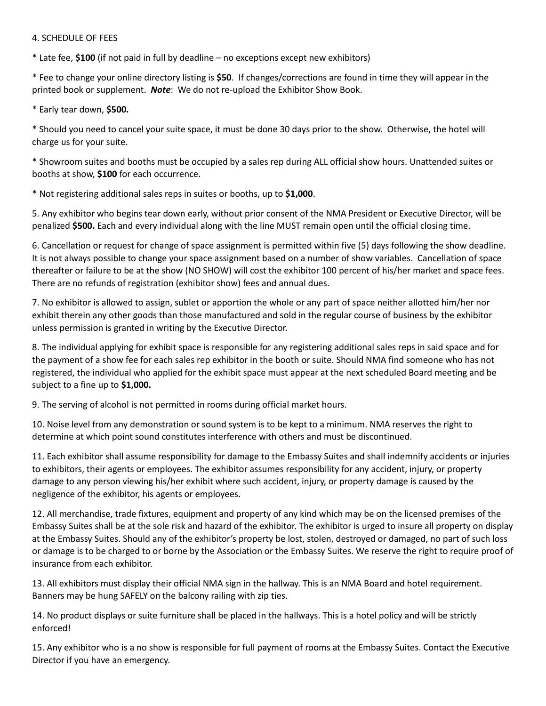#### 4. SCHEDULE OF FEES

\* Late fee, **\$100** (if not paid in full by deadline – no exceptions except new exhibitors)

\* Fee to change your online directory listing is **\$50**. If changes/corrections are found in time they will appear in the printed book or supplement. *Note*: We do not re-upload the Exhibitor Show Book.

\* Early tear down, **\$500.**

\* Should you need to cancel your suite space, it must be done 30 days prior to the show. Otherwise, the hotel will charge us for your suite.

\* Showroom suites and booths must be occupied by a sales rep during ALL official show hours. Unattended suites or booths at show, **\$100** for each occurrence.

\* Not registering additional sales reps in suites or booths, up to **\$1,000**.

5. Any exhibitor who begins tear down early, without prior consent of the NMA President or Executive Director, will be penalized **\$500.** Each and every individual along with the line MUST remain open until the official closing time.

6. Cancellation or request for change of space assignment is permitted within five (5) days following the show deadline. It is not always possible to change your space assignment based on a number of show variables. Cancellation of space thereafter or failure to be at the show (NO SHOW) will cost the exhibitor 100 percent of his/her market and space fees. There are no refunds of registration (exhibitor show) fees and annual dues.

7. No exhibitor is allowed to assign, sublet or apportion the whole or any part of space neither allotted him/her nor exhibit therein any other goods than those manufactured and sold in the regular course of business by the exhibitor unless permission is granted in writing by the Executive Director.

8. The individual applying for exhibit space is responsible for any registering additional sales reps in said space and for the payment of a show fee for each sales rep exhibitor in the booth or suite. Should NMA find someone who has not registered, the individual who applied for the exhibit space must appear at the next scheduled Board meeting and be subject to a fine up to **\$1,000.**

9. The serving of alcohol is not permitted in rooms during official market hours.

10. Noise level from any demonstration or sound system is to be kept to a minimum. NMA reserves the right to determine at which point sound constitutes interference with others and must be discontinued.

11. Each exhibitor shall assume responsibility for damage to the Embassy Suites and shall indemnify accidents or injuries to exhibitors, their agents or employees. The exhibitor assumes responsibility for any accident, injury, or property damage to any person viewing his/her exhibit where such accident, injury, or property damage is caused by the negligence of the exhibitor, his agents or employees.

12. All merchandise, trade fixtures, equipment and property of any kind which may be on the licensed premises of the Embassy Suites shall be at the sole risk and hazard of the exhibitor. The exhibitor is urged to insure all property on display at the Embassy Suites. Should any of the exhibitor's property be lost, stolen, destroyed or damaged, no part of such loss or damage is to be charged to or borne by the Association or the Embassy Suites. We reserve the right to require proof of insurance from each exhibitor.

13. All exhibitors must display their official NMA sign in the hallway. This is an NMA Board and hotel requirement. Banners may be hung SAFELY on the balcony railing with zip ties.

14. No product displays or suite furniture shall be placed in the hallways. This is a hotel policy and will be strictly enforced!

15. Any exhibitor who is a no show is responsible for full payment of rooms at the Embassy Suites. Contact the Executive Director if you have an emergency.